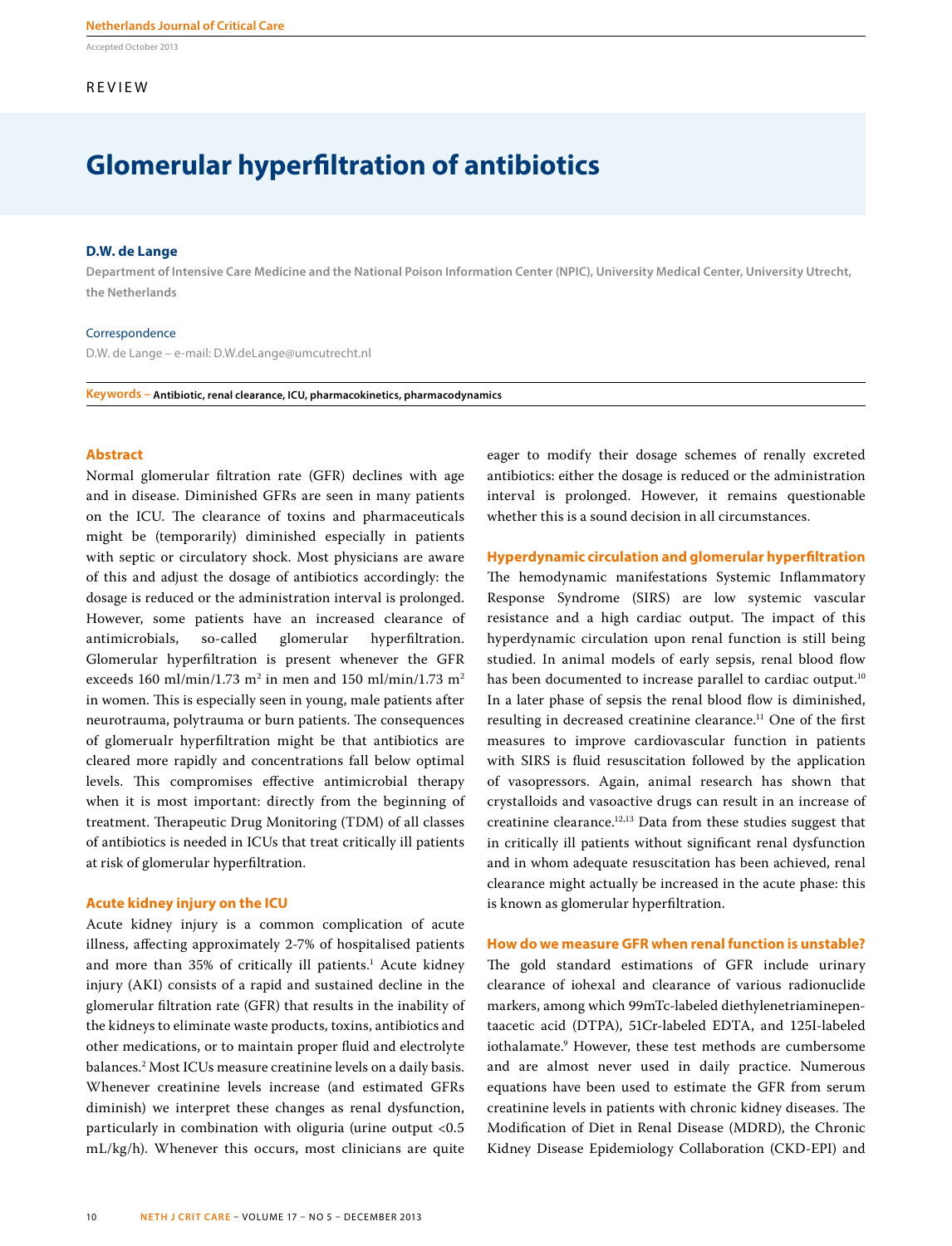Accepted October 2013

# **REVIEW**

# **Glomerular hyperfiltration of antibiotics**

## **D.W. de Lange**

**Department of Intensive Care Medicine and the National Poison Information Center (NPIC), University Medical Center, University Utrecht, the Netherlands**

#### Correspondence

D.W. de Lange – e-mail: D.W.deLange@umcutrecht.nl

**Keywords – Antibiotic, renal clearance, ICU, pharmacokinetics, pharmacodynamics**

# **Abstract**

Normal glomerular filtration rate (GFR) declines with age and in disease. Diminished GFRs are seen in many patients on the ICU. The clearance of toxins and pharmaceuticals might be (temporarily) diminished especially in patients with septic or circulatory shock. Most physicians are aware of this and adjust the dosage of antibiotics accordingly: the dosage is reduced or the administration interval is prolonged. However, some patients have an increased clearance of antimicrobials, so-called glomerular hyperfiltration. Glomerular hyperfiltration is present whenever the GFR exceeds 160 ml/min/1.73 m<sup>2</sup> in men and 150 ml/min/1.73 m<sup>2</sup> in women. This is especially seen in young, male patients after neurotrauma, polytrauma or burn patients. The consequences of glomerualr hyperfiltration might be that antibiotics are cleared more rapidly and concentrations fall below optimal levels. This compromises effective antimicrobial therapy when it is most important: directly from the beginning of treatment. Therapeutic Drug Monitoring (TDM) of all classes of antibiotics is needed in ICUs that treat critically ill patients at risk of glomerular hyperfiltration.

#### **Acute kidney injury on the ICU**

Acute kidney injury is a common complication of acute illness, affecting approximately 2-7% of hospitalised patients and more than 35% of critically ill patients.<sup>1</sup> Acute kidney injury (AKI) consists of a rapid and sustained decline in the glomerular filtration rate (GFR) that results in the inability of the kidneys to eliminate waste products, toxins, antibiotics and other medications, or to maintain proper fluid and electrolyte balances.2 Most ICUs measure creatinine levels on a daily basis. Whenever creatinine levels increase (and estimated GFRs diminish) we interpret these changes as renal dysfunction, particularly in combination with oliguria (urine output <0.5 mL/kg/h). Whenever this occurs, most clinicians are quite

eager to modify their dosage schemes of renally excreted antibiotics: either the dosage is reduced or the administration interval is prolonged. However, it remains questionable whether this is a sound decision in all circumstances.

# **Hyperdynamic circulation and glomerular hyperfiltration**  The hemodynamic manifestations Systemic Inflammatory Response Syndrome (SIRS) are low systemic vascular resistance and a high cardiac output. The impact of this hyperdynamic circulation upon renal function is still being studied. In animal models of early sepsis, renal blood flow has been documented to increase parallel to cardiac output.<sup>10</sup> In a later phase of sepsis the renal blood flow is diminished, resulting in decreased creatinine clearance.<sup>11</sup> One of the first measures to improve cardiovascular function in patients with SIRS is fluid resuscitation followed by the application of vasopressors. Again, animal research has shown that crystalloids and vasoactive drugs can result in an increase of creatinine clearance.12,13 Data from these studies suggest that in critically ill patients without significant renal dysfunction and in whom adequate resuscitation has been achieved, renal clearance might actually be increased in the acute phase: this is known as glomerular hyperfiltration.

# **How do we measure GFR when renal function is unstable?**

The gold standard estimations of GFR include urinary clearance of iohexal and clearance of various radionuclide markers, among which 99mTc-labeled diethylenetriaminepentaacetic acid (DTPA), 51Cr-labeled EDTA, and 125I-labeled iothalamate.9 However, these test methods are cumbersome and are almost never used in daily practice. Numerous equations have been used to estimate the GFR from serum creatinine levels in patients with chronic kidney diseases. The Modification of Diet in Renal Disease (MDRD), the Chronic Kidney Disease Epidemiology Collaboration (CKD-EPI) and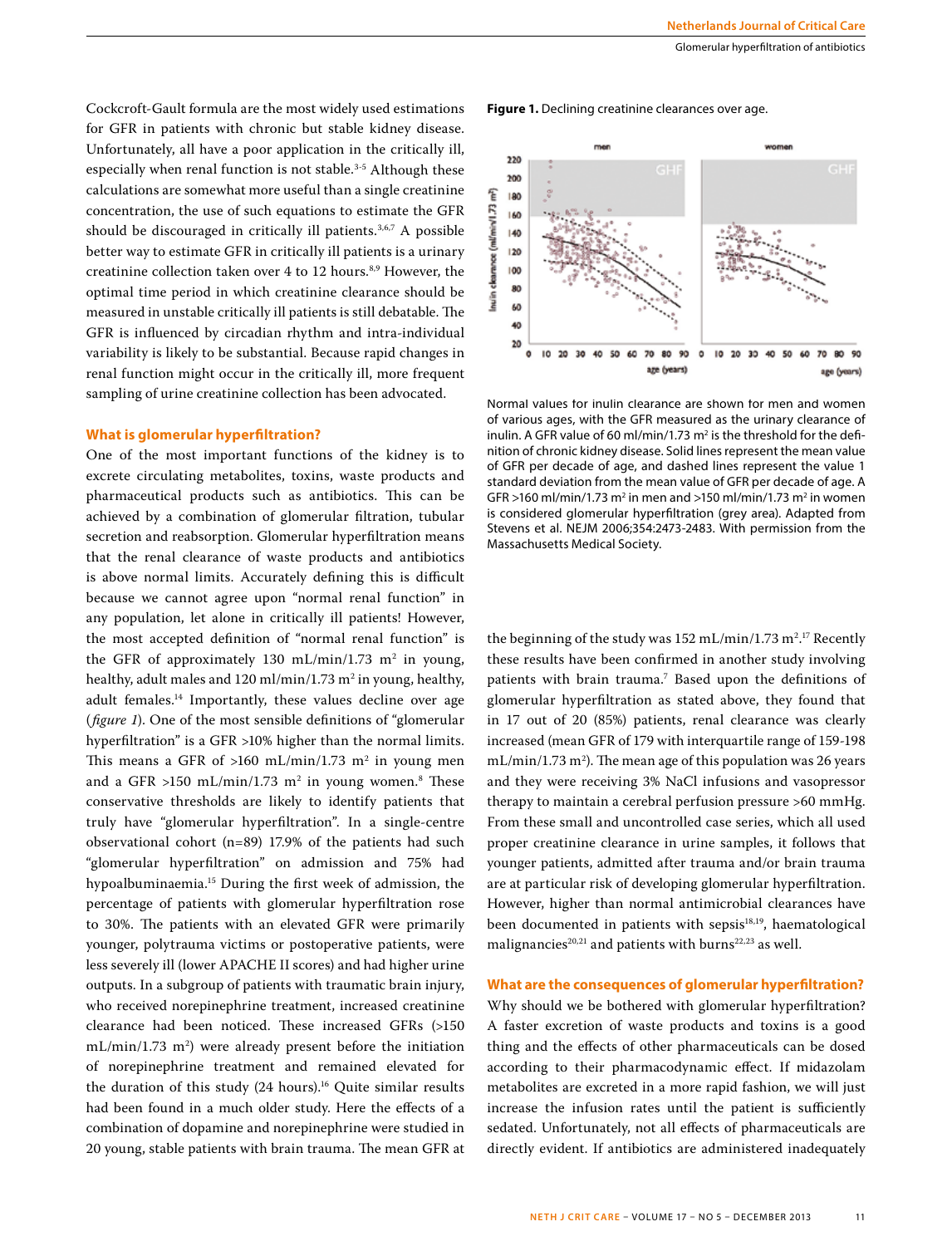Cockcroft-Gault formula are the most widely used estimations for GFR in patients with chronic but stable kidney disease. Unfortunately, all have a poor application in the critically ill, especially when renal function is not stable.<sup>3-5</sup> Although these calculations are somewhat more useful than a single creatinine concentration, the use of such equations to estimate the GFR should be discouraged in critically ill patients.<sup>3,6,7</sup> A possible better way to estimate GFR in critically ill patients is a urinary creatinine collection taken over 4 to 12 hours.<sup>8,9</sup> However, the optimal time period in which creatinine clearance should be measured in unstable critically ill patients is still debatable. The GFR is influenced by circadian rhythm and intra-individual variability is likely to be substantial. Because rapid changes in renal function might occur in the critically ill, more frequent sampling of urine creatinine collection has been advocated.

# **What is glomerular hyperfiltration?**

One of the most important functions of the kidney is to excrete circulating metabolites, toxins, waste products and pharmaceutical products such as antibiotics. This can be achieved by a combination of glomerular filtration, tubular secretion and reabsorption. Glomerular hyperfiltration means that the renal clearance of waste products and antibiotics is above normal limits. Accurately defining this is difficult because we cannot agree upon "normal renal function" in any population, let alone in critically ill patients! However, the most accepted definition of "normal renal function" is the GFR of approximately 130 mL/min/1.73  $m^2$  in young, healthy, adult males and 120 ml/min/1.73 m<sup>2</sup> in young, healthy, adult females.14 Importantly, these values decline over age (*figure 1*). One of the most sensible definitions of "glomerular hyperfiltration" is a GFR >10% higher than the normal limits. This means a GFR of >160 mL/min/1.73 m<sup>2</sup> in young men and a GFR >150 mL/min/1.73  $m^2$  in young women. $\mathrm{^8}$  These conservative thresholds are likely to identify patients that truly have "glomerular hyperfiltration". In a single-centre observational cohort (n=89) 17.9% of the patients had such "glomerular hyperfiltration" on admission and 75% had hypoalbuminaemia.15 During the first week of admission, the percentage of patients with glomerular hyperfiltration rose to 30%. The patients with an elevated GFR were primarily younger, polytrauma victims or postoperative patients, were less severely ill (lower APACHE II scores) and had higher urine outputs. In a subgroup of patients with traumatic brain injury, who received norepinephrine treatment, increased creatinine clearance had been noticed. These increased GFRs (>150 mL/min/1.73 m<sup>2</sup>) were already present before the initiation of norepinephrine treatment and remained elevated for the duration of this study (24 hours).<sup>16</sup> Quite similar results had been found in a much older study. Here the effects of a combination of dopamine and norepinephrine were studied in 20 young, stable patients with brain trauma. The mean GFR at

**Figure 1.** Declining creatinine clearances over age.



Normal values for inulin clearance are shown for men and women of various ages, with the GFR measured as the urinary clearance of inulin. A GFR value of 60 ml/min/1.73  $m<sup>2</sup>$  is the threshold for the definition of chronic kidney disease. Solid lines represent the mean value of GFR per decade of age, and dashed lines represent the value 1 standard deviation from the mean value of GFR per decade of age. A GFR >160 ml/min/1.73 m<sup>2</sup> in men and >150 ml/min/1.73 m<sup>2</sup> in women is considered glomerular hyperfiltration (grey area). Adapted from Stevens et al. NEJM 2006;354:2473-2483. With permission from the Massachusetts Medical Society.

the beginning of the study was  $152 \text{ mL/min}/1.73 \text{ m}^2$ .<sup>17</sup> Recently these results have been confirmed in another study involving patients with brain trauma.7 Based upon the definitions of glomerular hyperfiltration as stated above, they found that in 17 out of 20 (85%) patients, renal clearance was clearly increased (mean GFR of 179 with interquartile range of 159-198  $\text{mL/min}/\text{1.73 m}^2$ ). The mean age of this population was 26 years and they were receiving 3% NaCl infusions and vasopressor therapy to maintain a cerebral perfusion pressure >60 mmHg. From these small and uncontrolled case series, which all used proper creatinine clearance in urine samples, it follows that younger patients, admitted after trauma and/or brain trauma are at particular risk of developing glomerular hyperfiltration. However, higher than normal antimicrobial clearances have been documented in patients with sepsis<sup>18,19</sup>, haematological malignancies<sup>20,21</sup> and patients with burns<sup>22,23</sup> as well.

# **What are the consequences of glomerular hyperfiltration?**

Why should we be bothered with glomerular hyperfiltration? A faster excretion of waste products and toxins is a good thing and the effects of other pharmaceuticals can be dosed according to their pharmacodynamic effect. If midazolam metabolites are excreted in a more rapid fashion, we will just increase the infusion rates until the patient is sufficiently sedated. Unfortunately, not all effects of pharmaceuticals are directly evident. If antibiotics are administered inadequately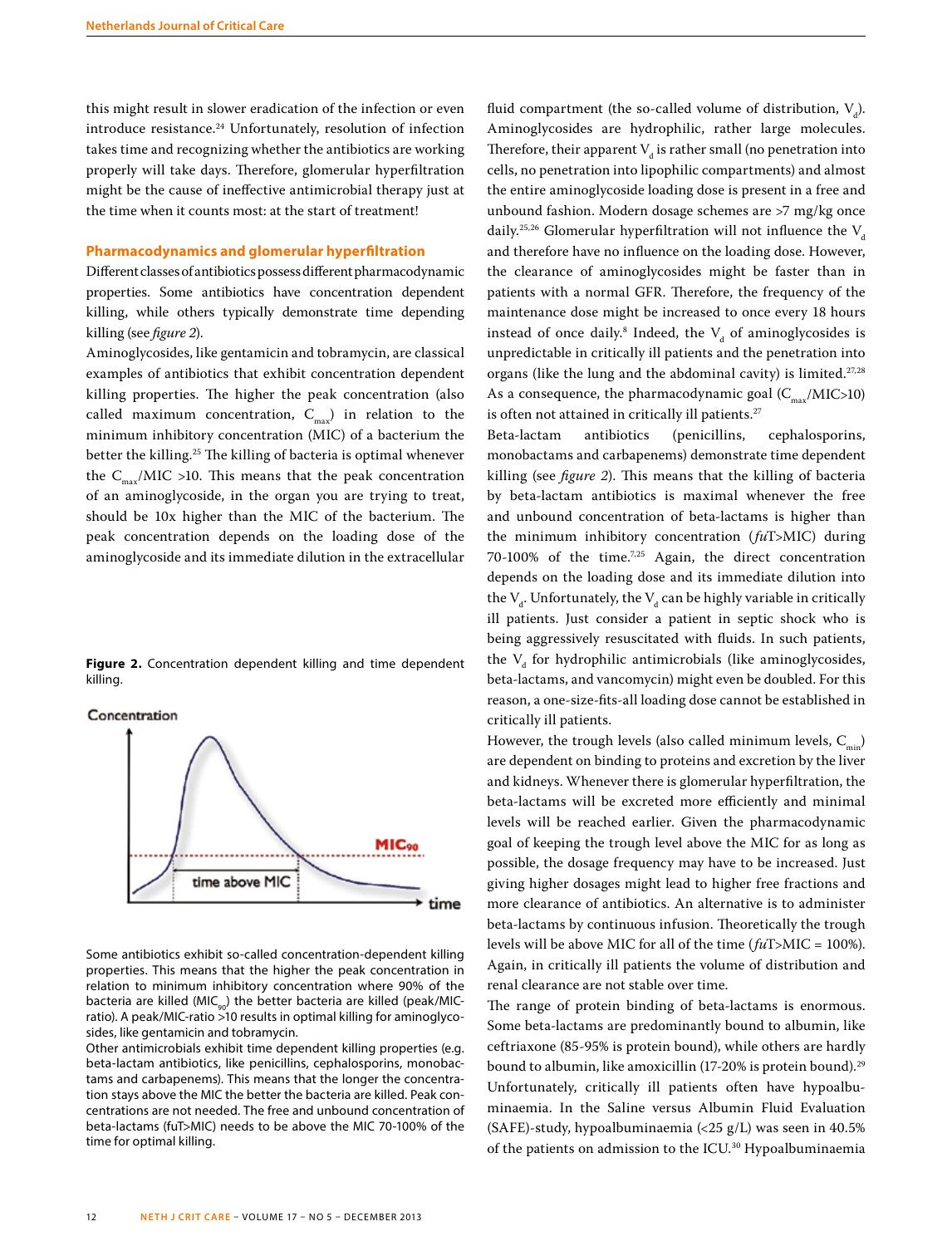this might result in slower eradication of the infection or even introduce resistance.<sup>24</sup> Unfortunately, resolution of infection takes time and recognizing whether the antibiotics are working properly will take days. Therefore, glomerular hyperfiltration might be the cause of ineffective antimicrobial therapy just at the time when it counts most: at the start of treatment!

#### **Pharmacodynamics and glomerular hyperfiltration**

Different classes of antibiotics possess different pharmacodynamic properties. Some antibiotics have concentration dependent killing, while others typically demonstrate time depending killing (see *figure 2*).

Aminoglycosides, like gentamicin and tobramycin, are classical examples of antibiotics that exhibit concentration dependent killing properties. The higher the peak concentration (also called maximum concentration,  $C_{\text{max}}$ ) in relation to the minimum inhibitory concentration (MIC) of a bacterium the better the killing.25 The killing of bacteria is optimal whenever the  $C_{\text{max}}/MIC > 10$ . This means that the peak concentration of an aminoglycoside, in the organ you are trying to treat, should be 10x higher than the MIC of the bacterium. The peak concentration depends on the loading dose of the aminoglycoside and its immediate dilution in the extracellular

**Figure 2.** Concentration dependent killing and time dependent killing.

Concentration



Some antibiotics exhibit so-called concentration-dependent killing properties. This means that the higher the peak concentration in relation to minimum inhibitory concentration where 90% of the bacteria are killed (MIC<sub>90</sub>) the better bacteria are killed (peak/MICratio). A peak/MIC-ratio >10 results in optimal killing for aminoglycosides, like gentamicin and tobramycin.

Other antimicrobials exhibit time dependent killing properties (e.g. beta-lactam antibiotics, like penicillins, cephalosporins, monobactams and carbapenems). This means that the longer the concentration stays above the MIC the better the bacteria are killed. Peak concentrations are not needed. The free and unbound concentration of beta-lactams (fuT>MIC) needs to be above the MIC 70-100% of the time for optimal killing.

fluid compartment (the so-called volume of distribution,  $V_d$ ). Aminoglycosides are hydrophilic, rather large molecules. Therefore, their apparent  $V_d$  is rather small (no penetration into cells, no penetration into lipophilic compartments) and almost the entire aminoglycoside loading dose is present in a free and unbound fashion. Modern dosage schemes are >7 mg/kg once daily.<sup>25,26</sup> Glomerular hyperfiltration will not influence the  $V<sub>d</sub>$ and therefore have no influence on the loading dose. However, the clearance of aminoglycosides might be faster than in patients with a normal GFR. Therefore, the frequency of the maintenance dose might be increased to once every 18 hours instead of once daily.<sup>8</sup> Indeed, the  $V_d$  of aminoglycosides is unpredictable in critically ill patients and the penetration into organs (like the lung and the abdominal cavity) is limited.<sup>27,28</sup> As a consequence, the pharmacodynamic goal  $(C_{\text{max}}/MIC>10)$ is often not attained in critically ill patients.<sup>27</sup>

Beta-lactam antibiotics (penicillins, cephalosporins, monobactams and carbapenems) demonstrate time dependent killing (see *figure 2*). This means that the killing of bacteria by beta-lactam antibiotics is maximal whenever the free and unbound concentration of beta-lactams is higher than the minimum inhibitory concentration (*fu*T>MIC) during 70-100% of the time.7,25 Again, the direct concentration depends on the loading dose and its immediate dilution into the  $\mathsf{V}_{\mathsf{d}}$ . Unfortunately, the  $\mathsf{V}_{\mathsf{d}}$  can be highly variable in critically ill patients. Just consider a patient in septic shock who is being aggressively resuscitated with fluids. In such patients, the  $V_d$  for hydrophilic antimicrobials (like aminoglycosides, beta-lactams, and vancomycin) might even be doubled. For this reason, a one-size-fits-all loading dose cannot be established in critically ill patients.

However, the trough levels (also called minimum levels,  $C_{m}$ ) are dependent on binding to proteins and excretion by the liver and kidneys. Whenever there is glomerular hyperfiltration, the beta-lactams will be excreted more efficiently and minimal levels will be reached earlier. Given the pharmacodynamic goal of keeping the trough level above the MIC for as long as possible, the dosage frequency may have to be increased. Just giving higher dosages might lead to higher free fractions and more clearance of antibiotics. An alternative is to administer beta-lactams by continuous infusion. Theoretically the trough levels will be above MIC for all of the time (*fu*T>MIC = 100%). Again, in critically ill patients the volume of distribution and renal clearance are not stable over time.

The range of protein binding of beta-lactams is enormous. Some beta-lactams are predominantly bound to albumin, like ceftriaxone (85-95% is protein bound), while others are hardly bound to albumin, like amoxicillin (17-20% is protein bound).<sup>29</sup> Unfortunately, critically ill patients often have hypoalbuminaemia. In the Saline versus Albumin Fluid Evaluation (SAFE)-study, hypoalbuminaemia (<25 g/L) was seen in 40.5% of the patients on admission to the ICU.30 Hypoalbuminaemia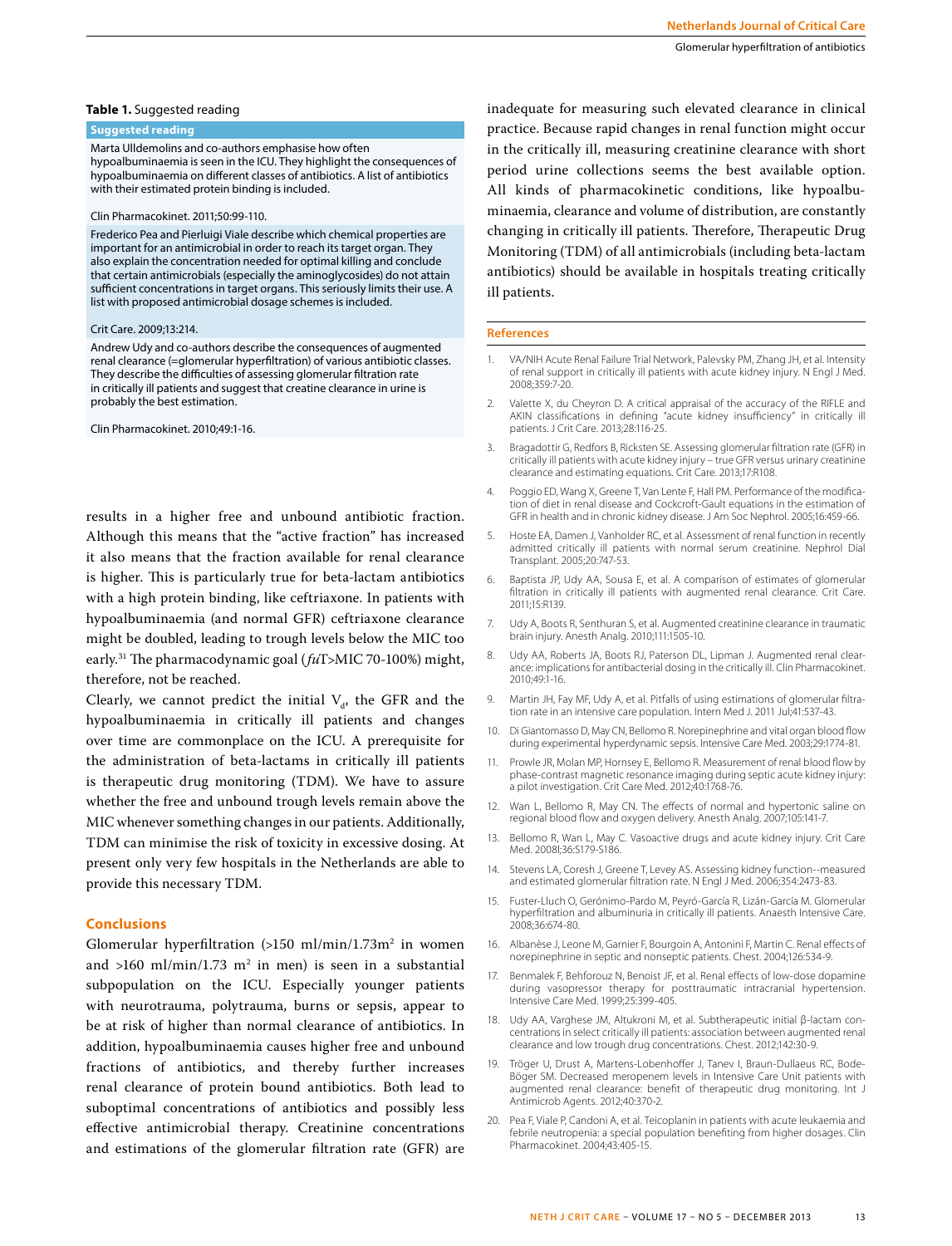#### **Table 1.** Suggested reading

# **Suggested reading**

#### Marta Ulldemolins and co-authors emphasise how often

hypoalbuminaemia is seen in the ICU. They highlight the consequences of hypoalbuminaemia on different classes of antibiotics. A list of antibiotics with their estimated protein binding is included.

#### Clin Pharmacokinet. 2011;50:99-110.

Frederico Pea and Pierluigi Viale describe which chemical properties are important for an antimicrobial in order to reach its target organ. They also explain the concentration needed for optimal killing and conclude that certain antimicrobials (especially the aminoglycosides) do not attain sufficient concentrations in target organs. This seriously limits their use. A list with proposed antimicrobial dosage schemes is included.

#### Crit Care. 2009;13:214.

Andrew Udy and co-authors describe the consequences of augmented renal clearance (=glomerular hyperfiltration) of various antibiotic classes. They describe the difficulties of assessing glomerular filtration rate in critically ill patients and suggest that creatine clearance in urine is probably the best estimation.

#### Clin Pharmacokinet. 2010;49:1-16.

results in a higher free and unbound antibiotic fraction. Although this means that the "active fraction" has increased it also means that the fraction available for renal clearance is higher. This is particularly true for beta-lactam antibiotics with a high protein binding, like ceftriaxone. In patients with hypoalbuminaemia (and normal GFR) ceftriaxone clearance might be doubled, leading to trough levels below the MIC too early.31 The pharmacodynamic goal (*fu*T>MIC 70-100%) might, therefore, not be reached.

Clearly, we cannot predict the initial  $V_{d}$ , the GFR and the hypoalbuminaemia in critically ill patients and changes over time are commonplace on the ICU. A prerequisite for the administration of beta-lactams in critically ill patients is therapeutic drug monitoring (TDM). We have to assure whether the free and unbound trough levels remain above the MIC whenever something changes in our patients. Additionally, TDM can minimise the risk of toxicity in excessive dosing. At present only very few hospitals in the Netherlands are able to provide this necessary TDM.

#### **Conclusions**

Glomerular hyperfiltration  $(>150 \text{ ml/min}/1.73 \text{m}^2)$  in women and >160 ml/min/1.73 m<sup>2</sup> in men) is seen in a substantial subpopulation on the ICU. Especially younger patients with neurotrauma, polytrauma, burns or sepsis, appear to be at risk of higher than normal clearance of antibiotics. In addition, hypoalbuminaemia causes higher free and unbound fractions of antibiotics, and thereby further increases renal clearance of protein bound antibiotics. Both lead to suboptimal concentrations of antibiotics and possibly less effective antimicrobial therapy. Creatinine concentrations and estimations of the glomerular filtration rate (GFR) are

inadequate for measuring such elevated clearance in clinical practice. Because rapid changes in renal function might occur in the critically ill, measuring creatinine clearance with short period urine collections seems the best available option. All kinds of pharmacokinetic conditions, like hypoalbuminaemia, clearance and volume of distribution, are constantly changing in critically ill patients. Therefore, Therapeutic Drug Monitoring (TDM) of all antimicrobials (including beta-lactam antibiotics) should be available in hospitals treating critically ill patients.

#### **References**

- 1. VA/NIH Acute Renal Failure Trial Network, Palevsky PM, Zhang JH, et al. Intensity of renal support in critically ill patients with acute kidney injury. N Engl J Med. 2008;359:7-20.
- 2. Valette X, du Cheyron D. A critical appraisal of the accuracy of the RIFLE and AKIN classifications in defining "acute kidney insufficiency" in critically ill patients. J Crit Care. 2013;28:116-25.
- 3. Bragadottir G, Redfors B, Ricksten SE. Assessing glomerular filtration rate (GFR) in critically ill patients with acute kidney injury – true GFR versus urinary creatinine clearance and estimating equations. Crit Care. 2013;17:R108.
- 4. Poggio ED, Wang X, Greene T, Van Lente F, Hall PM. Performance of the modification of diet in renal disease and Cockcroft-Gault equations in the estimation of GFR in health and in chronic kidney disease. J Am Soc Nephrol. 2005;16:459-66.
- Hoste EA, Damen J, Vanholder RC, et al. Assessment of renal function in recently admitted critically ill patients with normal serum creatinine. Nephrol Dial Transplant. 2005;20:747-53.
- 6. Baptista JP, Udy AA, Sousa E, et al. A comparison of estimates of glomerular filtration in critically ill patients with augmented renal clearance. Crit Care. 2011;15:R139.
- 7. Udy A, Boots R, Senthuran S, et al. Augmented creatinine clearance in traumatic brain injury. Anesth Analg. 2010;111:1505-10.
- 8. Udy AA, Roberts JA, Boots RJ, Paterson DL, Lipman J. Augmented renal clearance: implications for antibacterial dosing in the critically ill. Clin Pharmacokinet. 2010;49:1-16.
- 9. Martin JH, Fay MF, Udy A, et al. Pitfalls of using estimations of glomerular filtration rate in an intensive care population. Intern Med J. 2011 Jul;41:537-43.
- 10. Di Giantomasso D, May CN, Bellomo R. Norepinephrine and vital organ blood flow during experimental hyperdynamic sepsis. Intensive Care Med. 2003;29:1774-81.
- 11. Prowle JR, Molan MP, Hornsey E, Bellomo R. Measurement of renal blood flow by phase-contrast magnetic resonance imaging during septic acute kidney injury: a pilot investigation. Crit Care Med. 2012;40:1768-76.
- 12. Wan L, Bellomo R, May CN. The effects of normal and hypertonic saline on regional blood flow and oxygen delivery. Anesth Analg. 2007;105:141-7.
- 13. Bellomo R, Wan L, May C. Vasoactive drugs and acute kidney injury. Crit Care Med. 2008l;36:S179-S186.
- 14. Stevens LA, Coresh J, Greene T, Levey AS. Assessing kidney function--measured and estimated glomerular filtration rate. N Engl J Med. 2006;354:2473-83.
- 15. Fuster-Lluch O, Gerónimo-Pardo M, Peyró-García R, Lizán-García M. Glomerular hyperfiltration and albuminuria in critically ill patients. Anaesth Intensive Care. 2008;36:674-80.
- 16. Albanèse J, Leone M, Garnier F, Bourgoin A, Antonini F, Martin C. Renal effects of norepinephrine in septic and nonseptic patients. Chest. 2004;126:534-9.
- 17. Benmalek F, Behforouz N, Benoist JF, et al. Renal effects of low-dose dopamine during vasopressor therapy for posttraumatic intracranial hypertension. Intensive Care Med. 1999;25:399-405.
- 18. Udy AA, Varghese JM, Altukroni M, et al. Subtherapeutic initial β-lactam concentrations in select critically ill patients: association between augmented renal clearance and low trough drug concentrations. Chest. 2012;142:30-9.
- 19. Tröger U, Drust A, Martens-Lobenhoffer J, Tanev I, Braun-Dullaeus RC, Bode-Böger SM. Decreased meropenem levels in Intensive Care Unit patients with augmented renal clearance: benefit of therapeutic drug monitoring. Int J Antimicrob Agents. 2012;40:370-2.
- 20. Pea F, Viale P, Candoni A, et al. Teicoplanin in patients with acute leukaemia and febrile neutropenia: a special population benefiting from higher dosages. Clin Pharmacokinet. 2004;43:405-15.